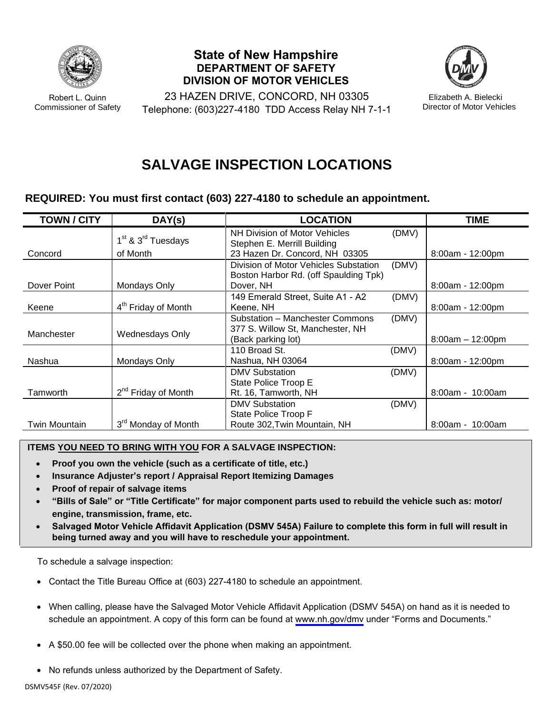

Robert L. Quinn Commissioner of Safety

**State of New Hampshire DEPARTMENT OF SAFETY DIVISION OF MOTOR VEHICLES**



23 HAZEN DRIVE, CONCORD, NH 03305 Telephone: (603)227-4180 TDD Access Relay NH 7-1-1

Elizabeth A. Bielecki Director of Motor Vehicles

## **SALVAGE INSPECTION LOCATIONS**

## **REQUIRED: You must first contact (603) 227-4180 to schedule an appointment.**

| <b>TOWN / CITY</b> | DAY(s)                                     | <b>LOCATION</b>                       |       | <b>TIME</b>        |
|--------------------|--------------------------------------------|---------------------------------------|-------|--------------------|
|                    |                                            | NH Division of Motor Vehicles         | (DMV) |                    |
|                    | 1 <sup>st</sup> & 3 <sup>rd</sup> Tuesdays | Stephen E. Merrill Building           |       |                    |
| Concord            | of Month                                   | 23 Hazen Dr. Concord, NH 03305        |       | $8:00am - 12:00pm$ |
|                    |                                            | Division of Motor Vehicles Substation | (DMV) |                    |
|                    |                                            | Boston Harbor Rd. (off Spaulding Tpk) |       |                    |
| Dover Point        | Mondays Only                               | Dover, NH                             |       | $8:00am - 12:00dm$ |
|                    |                                            | 149 Emerald Street, Suite A1 - A2     | (DMV) |                    |
| Keene              | 4 <sup>th</sup> Friday of Month            | Keene, NH                             |       | $8:00am - 12:00pm$ |
|                    |                                            | Substation - Manchester Commons       | (DMV) |                    |
| Manchester         |                                            | 377 S. Willow St, Manchester, NH      |       |                    |
|                    | Wednesdays Only                            | (Back parking lot)                    |       | $8:00am - 12:00pm$ |
|                    |                                            | 110 Broad St.                         | (DMV) |                    |
| Nashua             | Mondays Only                               | Nashua, NH 03064                      |       | $8:00am - 12:00pm$ |
|                    |                                            | <b>DMV Substation</b>                 | (DMV) |                    |
|                    |                                            | State Police Troop E                  |       |                    |
| Tamworth           | 2 <sup>nd</sup> Friday of Month            | Rt. 16, Tamworth, NH                  |       | $8:00am - 10:00am$ |
|                    |                                            | <b>DMV Substation</b>                 | (DMV) |                    |
|                    |                                            | State Police Troop F                  |       |                    |
| Twin Mountain      | 3 <sup>rd</sup> Monday of Month            | Route 302, Twin Mountain, NH          |       | $8:00am - 10:00am$ |

## **ITEMS YOU NEED TO BRING WITH YOU FOR A SALVAGE INSPECTION:**

- **Proof you own the vehicle (such as a certificate of title, etc.)**
- **Insurance Adjuster's report / Appraisal Report Itemizing Damages**
- **Proof of repair of salvage items**
- **"Bills of Sale" or "Title Certificate" for major component parts used to rebuild the vehicle such as: motor/ engine, transmission, frame, etc.**
- **Salvaged Motor Vehicle Affidavit Application (DSMV 545A) Failure to complete this form in full will result in being turned away and you will have to reschedule your appointment.**

To schedule a salvage inspection:

- Contact the Title Bureau Office at (603) 227-4180 to schedule an appointment.
- When calling, please have the Salvaged Motor Vehicle Affidavit Application (DSMV 545A) on hand as it is needed to schedule an appointment. A copy of this form can be found at [www.nh.gov/dmv](https://www.nh.gov/safety/divisions/dmv/) under "Forms and Documents."
- A \$50.00 fee will be collected over the phone when making an appointment.
- No refunds unless authorized by the Department of Safety.